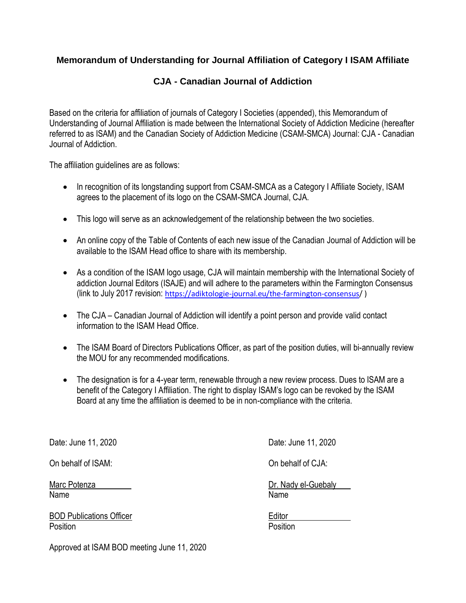## **Memorandum of Understanding for Journal Affiliation of Category I ISAM Affiliate**

# **CJA - Canadian Journal of Addiction**

Based on the criteria for affiliation of journals of Category I Societies (appended), this Memorandum of Understanding of Journal Affiliation is made between the International Society of Addiction Medicine (hereafter referred to as ISAM) and the Canadian Society of Addiction Medicine (CSAM-SMCA) Journal: CJA - Canadian Journal of Addiction.

The affiliation guidelines are as follows:

- In recognition of its longstanding support from CSAM-SMCA as a Category I Affiliate Society, ISAM agrees to the placement of its logo on the CSAM-SMCA Journal, CJA.
- This logo will serve as an acknowledgement of the relationship between the two societies.
- An online copy of the Table of Contents of each new issue of the Canadian Journal of Addiction will be available to the ISAM Head office to share with its membership.
- As a condition of the ISAM logo usage, CJA will maintain membership with the International Society of addiction Journal Editors (ISAJE) and will adhere to the parameters within the Farmington Consensus (link to July 2017 revision: [https://adiktologie-journal.eu/the-farmington-consensus/](https://adiktologie-journal.eu/the-farmington-consensus) )
- The CJA Canadian Journal of Addiction will identify a point person and provide valid contact information to the ISAM Head Office.
- The ISAM Board of Directors Publications Officer, as part of the position duties, will bi-annually review the MOU for any recommended modifications.
- The designation is for a 4-year term, renewable through a new review process. Dues to ISAM are a benefit of the Category I Affiliation. The right to display ISAM's logo can be revoked by the ISAM Board at any time the affiliation is deemed to be in non-compliance with the criteria.

Date: June 11, 2020 Date: June 11, 2020

On behalf of ISAM: On behalf of CJA:

Name Name

BOD Publications Officer **Editor** Editor Position **Provides Executive Contract Contract Providence** Position

Marc Potenza Dr. Nady el-Guebaly

Approved at ISAM BOD meeting June 11, 2020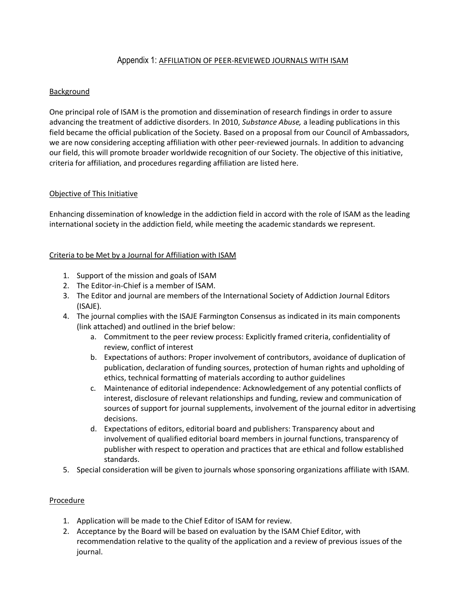## Appendix 1: AFFILIATION OF PEER-REVIEWED JOURNALS WITH ISAM

### **Background**

One principal role of ISAM is the promotion and dissemination of research findings in order to assure advancing the treatment of addictive disorders. In 2010, *Substance Abuse,* a leading publications in this field became the official publication of the Society. Based on a proposal from our Council of Ambassadors, we are now considering accepting affiliation with other peer-reviewed journals. In addition to advancing our field, this will promote broader worldwide recognition of our Society. The objective of this initiative, criteria for affiliation, and procedures regarding affiliation are listed here.

#### Objective of This Initiative

Enhancing dissemination of knowledge in the addiction field in accord with the role of ISAM as the leading international society in the addiction field, while meeting the academic standards we represent.

### Criteria to be Met by a Journal for Affiliation with ISAM

- 1. Support of the mission and goals of ISAM
- 2. The Editor-in-Chief is a member of ISAM.
- 3. The Editor and journal are members of the International Society of Addiction Journal Editors (ISAJE).
- 4. The journal complies with the ISAJE Farmington Consensus as indicated in its main components (link attached) and outlined in the brief below:
	- a. Commitment to the peer review process: Explicitly framed criteria, confidentiality of review, conflict of interest
	- b. Expectations of authors: Proper involvement of contributors, avoidance of duplication of publication, declaration of funding sources, protection of human rights and upholding of ethics, technical formatting of materials according to author guidelines
	- c. Maintenance of editorial independence: Acknowledgement of any potential conflicts of interest, disclosure of relevant relationships and funding, review and communication of sources of support for journal supplements, involvement of the journal editor in advertising decisions.
	- d. Expectations of editors, editorial board and publishers: Transparency about and involvement of qualified editorial board members in journal functions, transparency of publisher with respect to operation and practices that are ethical and follow established standards.
- 5. Special consideration will be given to journals whose sponsoring organizations affiliate with ISAM.

#### Procedure

- 1. Application will be made to the Chief Editor of ISAM for review.
- 2. Acceptance by the Board will be based on evaluation by the ISAM Chief Editor, with recommendation relative to the quality of the application and a review of previous issues of the journal.